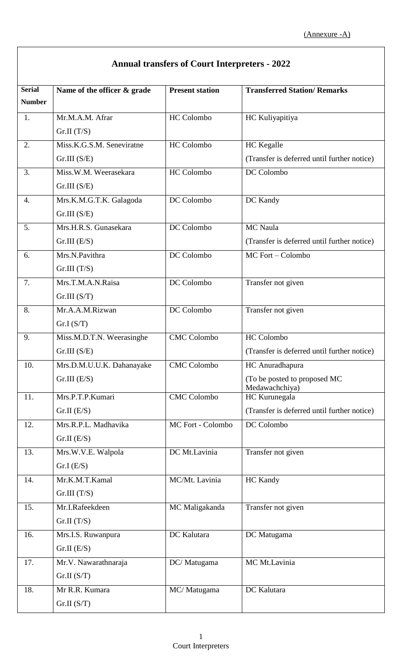| <b>Annual transfers of Court Interpreters - 2022</b> |                             |                        |                                                |
|------------------------------------------------------|-----------------------------|------------------------|------------------------------------------------|
| <b>Serial</b>                                        | Name of the officer & grade | <b>Present station</b> | <b>Transferred Station/ Remarks</b>            |
| <b>Number</b>                                        |                             |                        |                                                |
| 1.                                                   | Mr.M.A.M. Afrar             | <b>HC</b> Colombo      | HC Kuliyapitiya                                |
|                                                      | Gr.II(T/S)                  |                        |                                                |
| 2.                                                   | Miss.K.G.S.M. Seneviratne   | <b>HC</b> Colombo      | <b>HC</b> Kegalle                              |
|                                                      | Gr.III(S/E)                 |                        | (Transfer is deferred until further notice)    |
| 3.                                                   | Miss.W.M. Weerasekara       | <b>HC</b> Colombo      | DC Colombo                                     |
|                                                      | Gr.III(S/E)                 |                        |                                                |
| $\overline{4}$ .                                     | Mrs.K.M.G.T.K. Galagoda     | DC Colombo             | DC Kandy                                       |
|                                                      | Gr.III(S/E)                 |                        |                                                |
| 5.                                                   | Mrs.H.R.S. Gunasekara       | DC Colombo             | <b>MC</b> Naula                                |
|                                                      | Gr.III(E/S)                 |                        | (Transfer is deferred until further notice)    |
| 6.                                                   | Mrs.N.Pavithra              | DC Colombo             | MC Fort - Colombo                              |
|                                                      | Gr.III(T/S)                 |                        |                                                |
| 7.                                                   | Mrs.T.M.A.N.Raisa           | DC Colombo             | Transfer not given                             |
|                                                      | Gr.III(S/T)                 |                        |                                                |
| 8.                                                   | Mr.A.A.M.Rizwan             | DC Colombo             | Transfer not given                             |
|                                                      | Gr.I(S/T)                   |                        |                                                |
| 9.                                                   | Miss.M.D.T.N. Weerasinghe   | <b>CMC Colombo</b>     | <b>HC</b> Colombo                              |
|                                                      | Gr.III(S/E)                 |                        | (Transfer is deferred until further notice)    |
| 10.                                                  | Mrs.D.M.U.U.K. Dahanayake   | <b>CMC</b> Colombo     | HC Anuradhapura                                |
|                                                      | Gr.III(E/S)                 |                        | (To be posted to proposed MC<br>Medawachchiya) |
| 11.                                                  | Mrs.P.T.P.Kumari            | <b>CMC</b> Colombo     | HC Kurunegala                                  |
|                                                      | Gr.II(E/S)                  |                        | (Transfer is deferred until further notice)    |
| 12.                                                  | Mrs.R.P.L. Madhavika        | MC Fort - Colombo      | DC Colombo                                     |
|                                                      | Gr.II(E/S)                  |                        |                                                |
| 13.                                                  | Mrs.W.V.E. Walpola          | DC Mt.Lavinia          | Transfer not given                             |
|                                                      | Gr.I(E/S)                   |                        |                                                |
| 14.                                                  | Mr.K.M.T.Kamal              | MC/Mt. Lavinia         | <b>HC</b> Kandy                                |
|                                                      | Gr.III(T/S)                 |                        |                                                |
| 15.                                                  | Mr.I.Rafeekdeen             | MC Maligakanda         | Transfer not given                             |
|                                                      | Gr.II(T/S)                  |                        |                                                |
| 16.                                                  | Mrs.I.S. Ruwanpura          | <b>DC</b> Kalutara     | DC Matugama                                    |
|                                                      | Gr.II(E/S)                  |                        |                                                |
| 17.                                                  | Mr.V. Nawarathnaraja        | DC/Matugama            | MC Mt.Lavinia                                  |
|                                                      | Gr.II(S/T)                  |                        |                                                |
| 18.                                                  | Mr R.R. Kumara              | MC/Matugama            | DC Kalutara                                    |
|                                                      | Gr.II(S/T)                  |                        |                                                |

 $\lceil$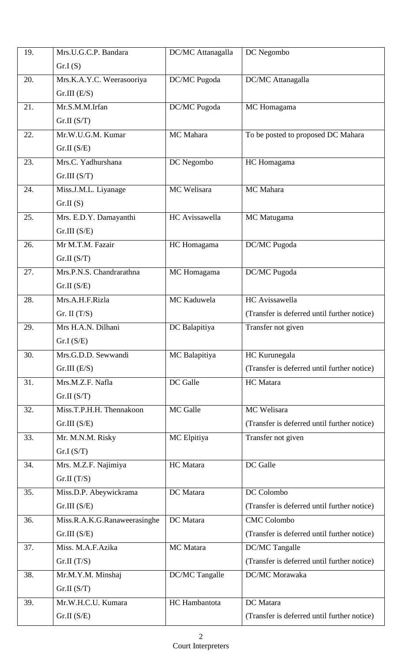| 19. | Mrs.U.G.C.P. Bandara         | DC/MC Attanagalla | DC Negombo                                  |
|-----|------------------------------|-------------------|---------------------------------------------|
|     | Gr.I(S)                      |                   |                                             |
| 20. | Mrs.K.A.Y.C. Weerasooriya    | DC/MC Pugoda      | DC/MC Attanagalla                           |
|     | Gr.III(E/S)                  |                   |                                             |
| 21. | Mr.S.M.M.Irfan               | DC/MC Pugoda      | MC Homagama                                 |
|     | Gr.II(S/T)                   |                   |                                             |
| 22. | Mr.W.U.G.M. Kumar            | MC Mahara         | To be posted to proposed DC Mahara          |
|     | Gr.II(S/E)                   |                   |                                             |
| 23. | Mrs.C. Yadhurshana           | DC Negombo        | HC Homagama                                 |
|     | Gr.III(S/T)                  |                   |                                             |
| 24. | Miss.J.M.L. Liyanage         | MC Welisara       | MC Mahara                                   |
|     | Gr.II(S)                     |                   |                                             |
| 25. | Mrs. E.D.Y. Damayanthi       | HC Avissawella    | MC Matugama                                 |
|     | Gr.III(S/E)                  |                   |                                             |
| 26. | Mr M.T.M. Fazair             | HC Homagama       | DC/MC Pugoda                                |
|     | Gr.II(S/T)                   |                   |                                             |
| 27. | Mrs.P.N.S. Chandrarathna     | MC Homagama       | DC/MC Pugoda                                |
|     | Gr.II(S/E)                   |                   |                                             |
| 28. | Mrs.A.H.F.Rizla              | MC Kaduwela       | HC Avissawella                              |
|     | Gr. II $(T/S)$               |                   | (Transfer is deferred until further notice) |
| 29. | Mrs H.A.N. Dilhani           | DC Balapitiya     | Transfer not given                          |
|     | Gr.I(S/E)                    |                   |                                             |
| 30. | Mrs.G.D.D. Sewwandi          | MC Balapitiya     | HC Kurunegala                               |
|     | Gr.III(E/S)                  |                   | (Transfer is deferred until further notice) |
| 31. | Mrs.M.Z.F. Nafla             | DC Galle          | HC Matara                                   |
|     | Gr.II(S/T)                   |                   |                                             |
| 32. | Miss.T.P.H.H. Thennakoon     | MC Galle          | <b>MC</b> Welisara                          |
|     | Gr.III(S/E)                  |                   | (Transfer is deferred until further notice) |
| 33. | Mr. M.N.M. Risky             | MC Elpitiya       | Transfer not given                          |
|     | Gr.I(S/T)                    |                   |                                             |
| 34. | Mrs. M.Z.F. Najimiya         | HC Matara         | DC Galle                                    |
|     | Gr.II(T/S)                   |                   |                                             |
| 35. | Miss.D.P. Abeywickrama       | DC Matara         | DC Colombo                                  |
|     | Gr.III(S/E)                  |                   | (Transfer is deferred until further notice) |
| 36. | Miss.R.A.K.G.Ranaweerasinghe | DC Matara         | <b>CMC Colombo</b>                          |
|     | Gr.III(S/E)                  |                   | (Transfer is deferred until further notice) |
| 37. | Miss. M.A.F.Azika            | <b>MC</b> Matara  | DC/MC Tangalle                              |
|     | Gr.II(T/S)                   |                   | (Transfer is deferred until further notice) |
| 38. | Mr.M.Y.M. Minshaj            | DC/MC Tangalle    | DC/MC Morawaka                              |
|     | Gr.II(S/T)                   |                   |                                             |
| 39. | Mr.W.H.C.U. Kumara           | HC Hambantota     | DC Matara                                   |
|     | Gr.II(S/E)                   |                   | (Transfer is deferred until further notice) |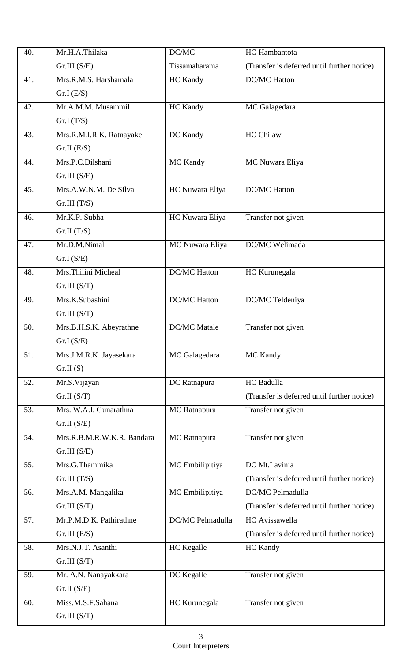| 40. | Mr.H.A.Thilaka             | DC/MC               | HC Hambantota                               |
|-----|----------------------------|---------------------|---------------------------------------------|
|     | Gr.III(S/E)                | Tissamaharama       | (Transfer is deferred until further notice) |
| 41. | Mrs.R.M.S. Harshamala      | HC Kandy            | <b>DC/MC Hatton</b>                         |
|     | Gr.I(E/S)                  |                     |                                             |
| 42. | Mr.A.M.M. Musammil         | HC Kandy            | MC Galagedara                               |
|     | Gr.I(T/S)                  |                     |                                             |
| 43. | Mrs.R.M.I.R.K. Ratnayake   | DC Kandy            | <b>HC Chilaw</b>                            |
|     | Gr.II(E/S)                 |                     |                                             |
| 44. | Mrs.P.C.Dilshani           | MC Kandy            | MC Nuwara Eliya                             |
|     | Gr.III(S/E)                |                     |                                             |
| 45. | Mrs.A.W.N.M. De Silva      | HC Nuwara Eliya     | <b>DC/MC Hatton</b>                         |
|     | Gr.III(T/S)                |                     |                                             |
| 46. | Mr.K.P. Subha              | HC Nuwara Eliya     | Transfer not given                          |
|     | Gr.II(T/S)                 |                     |                                             |
| 47. | Mr.D.M.Nimal               | MC Nuwara Eliya     | DC/MC Welimada                              |
|     | Gr.I(S/E)                  |                     |                                             |
| 48. | Mrs. Thilini Micheal       | <b>DC/MC</b> Hatton | HC Kurunegala                               |
|     | Gr.III(S/T)                |                     |                                             |
| 49. | Mrs.K.Subashini            | <b>DC/MC</b> Hatton | DC/MC Teldeniya                             |
|     | Gr.III(S/T)                |                     |                                             |
| 50. | Mrs.B.H.S.K. Abeyrathne    | <b>DC/MC</b> Matale | Transfer not given                          |
|     | Gr.I(S/E)                  |                     |                                             |
| 51. | Mrs.J.M.R.K. Jayasekara    | MC Galagedara       | MC Kandy                                    |
|     | Gr.II(S)                   |                     |                                             |
| 52. | Mr.S.Vijayan               | DC Ratnapura        | HC Badulla                                  |
|     | Gr.II(S/T)                 |                     | (Transfer is deferred until further notice) |
| 53. | Mrs. W.A.I. Gunarathna     | MC Ratnapura        | Transfer not given                          |
|     | Gr.II(S/E)                 |                     |                                             |
| 54. | Mrs.R.B.M.R.W.K.R. Bandara | MC Ratnapura        | Transfer not given                          |
|     | Gr.III(S/E)                |                     |                                             |
| 55. | Mrs.G.Thammika             | MC Embilipitiya     | DC Mt.Lavinia                               |
|     | Gr.III(T/S)                |                     | (Transfer is deferred until further notice) |
| 56. | Mrs.A.M. Mangalika         | MC Embilipitiya     | DC/MC Pelmadulla                            |
|     | Gr.III(S/T)                |                     | (Transfer is deferred until further notice) |
| 57. | Mr.P.M.D.K. Pathirathne    | DC/MC Pelmadulla    | <b>HC</b> Avissawella                       |
|     | Gr.III(E/S)                |                     | (Transfer is deferred until further notice) |
| 58. | Mrs.N.J.T. Asanthi         | <b>HC</b> Kegalle   | <b>HC</b> Kandy                             |
|     | Gr.III(S/T)                |                     |                                             |
| 59. | Mr. A.N. Nanayakkara       | DC Kegalle          | Transfer not given                          |
|     | Gr.II(S/E)                 |                     |                                             |
| 60. | Miss.M.S.F.Sahana          | HC Kurunegala       | Transfer not given                          |
|     | Gr.III(S/T)                |                     |                                             |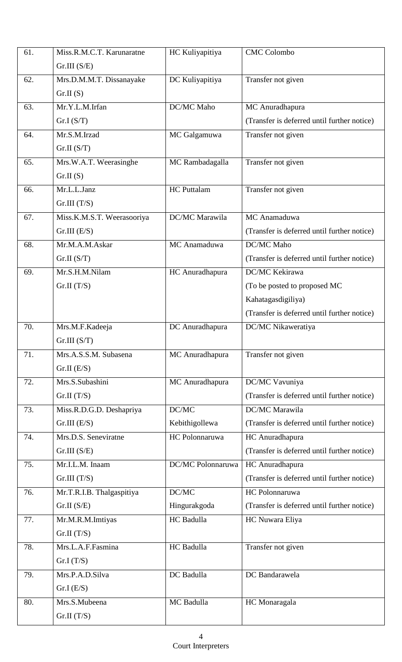| 61. | Miss.R.M.C.T. Karunaratne  | HC Kuliyapitiya    | <b>CMC</b> Colombo                          |
|-----|----------------------------|--------------------|---------------------------------------------|
|     | Gr.III(S/E)                |                    |                                             |
| 62. | Mrs.D.M.M.T. Dissanayake   | DC Kuliyapitiya    | Transfer not given                          |
|     | Gr.II(S)                   |                    |                                             |
| 63. | Mr.Y.L.M.Irfan             | DC/MC Maho         | MC Anuradhapura                             |
|     | Gr.I(S/T)                  |                    | (Transfer is deferred until further notice) |
| 64. | Mr.S.M.Irzad               | MC Galgamuwa       | Transfer not given                          |
|     | Gr.II(S/T)                 |                    |                                             |
| 65. | Mrs.W.A.T. Weerasinghe     | MC Rambadagalla    | Transfer not given                          |
|     | Gr.II(S)                   |                    |                                             |
| 66. | Mr.L.L.Janz                | <b>HC</b> Puttalam | Transfer not given                          |
|     | Gr.III(T/S)                |                    |                                             |
| 67. | Miss.K.M.S.T. Weerasooriya | DC/MC Marawila     | MC Anamaduwa                                |
|     | Gr.III(E/S)                |                    | (Transfer is deferred until further notice) |
| 68. | Mr.M.A.M.Askar             | MC Anamaduwa       | <b>DC/MC</b> Maho                           |
|     | Gr.II(S/T)                 |                    | (Transfer is deferred until further notice) |
| 69. | Mr.S.H.M.Nilam             | HC Anuradhapura    | DC/MC Kekirawa                              |
|     | Gr.II(T/S)                 |                    | (To be posted to proposed MC)               |
|     |                            |                    | Kahatagasdigiliya)                          |
|     |                            |                    | (Transfer is deferred until further notice) |
| 70. | Mrs.M.F.Kadeeja            | DC Anuradhapura    | DC/MC Nikaweratiya                          |
|     | Gr.III(S/T)                |                    |                                             |
| 71. | Mrs.A.S.S.M. Subasena      | MC Anuradhapura    | Transfer not given                          |
|     | Gr.II(E/S)                 |                    |                                             |
| 72. | Mrs.S.Subashini            | MC Anuradhapura    | DC/MC Vavuniya                              |
|     | Gr.II(T/S)                 |                    | (Transfer is deferred until further notice) |
| 73. | Miss.R.D.G.D. Deshapriya   | DC/MC              | DC/MC Marawila                              |
|     | Gr.III(E/S)                | Kebithigollewa     | (Transfer is deferred until further notice) |
| 74. | Mrs.D.S. Seneviratne       | HC Polonnaruwa     | HC Anuradhapura                             |
|     | Gr.III(S/E)                |                    | (Transfer is deferred until further notice) |
| 75. | Mr.I.L.M. Inaam            | DC/MC Polonnaruwa  | HC Anuradhapura                             |
|     | Gr.III(T/S)                |                    | (Transfer is deferred until further notice) |
| 76. | Mr.T.R.I.B. Thalgaspitiya  | DC/MC              | HC Polonnaruwa                              |
|     | Gr.II(S/E)                 | Hingurakgoda       | (Transfer is deferred until further notice) |
| 77. | Mr.M.R.M.Imtiyas           | HC Badulla         | HC Nuwara Eliya                             |
|     | Gr.II(T/S)                 |                    |                                             |
| 78. | Mrs.L.A.F.Fasmina          | HC Badulla         | Transfer not given                          |
|     | Gr.I(T/S)                  |                    |                                             |
| 79. | Mrs.P.A.D.Silva            | DC Badulla         | DC Bandarawela                              |
|     | Gr.I(E/S)                  |                    |                                             |
| 80. | Mrs.S.Mubeena              | MC Badulla         | HC Monaragala                               |
|     | Gr.II(T/S)                 |                    |                                             |